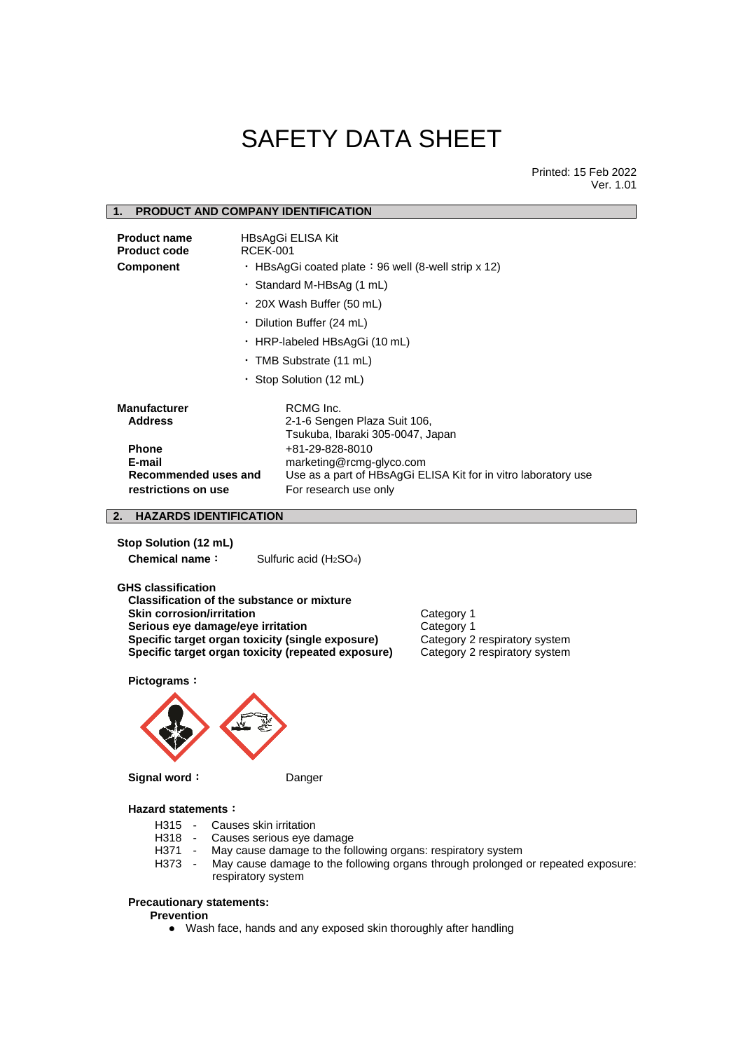# SAFETY DATA SHEET

Printed: 15 Feb 2022 Ver. 1.01

# **1. PRODUCT AND COMPANY IDENTIFICATION Product name** HBsAgGi ELISA Kit **Product code** RCEK-001 **Component** · HBsAgGi coated plate: 96 well (8-well strip x 12) ・ Standard M-HBsAg (1 mL) ・ 20X Wash Buffer (50 mL) ・ Dilution Buffer (24 mL) ・ HRP-labeled HBsAgGi (10 mL) ・ TMB Substrate (11 mL) ・ Stop Solution (12 mL) **Manufacturer** RCMG Inc.<br>**Address** 2-1-6 Seng **Address** 2-1-6 Sengen Plaza Suit 106, Tsukuba, Ibaraki 305-0047, Japan **Phone** +81-29-828-8010 **E-mail** marketing@rcmg-glyco.com **Recommended uses and** Use as a part of HBsAgGi ELISA Kit for in vitro laboratory use **restrictions on use** For research use only **2. HAZARDS IDENTIFICATION**

**Stop Solution (12 mL) Chemical name:** Sulfuric acid (H<sub>2</sub>SO<sub>4</sub>)

**GHS classification Classification of the substance or mixture Skin corrosion/irritation** Category 1 **Serious eye damage/eye irritation** Category 1 **Specific target organ toxicity (single exposure)** Category 2 respiratory system **Specific target organ toxicity (repeated exposure)** Category 2 respiratory system

**Pictograms**:



**Signal word**: Danger

# **Hazard statements**:

- H315 Causes skin irritation<br>H318 Causes serious eve d
- Causes serious eye damage
- H371 May cause damage to the following organs: respiratory system
- H373 May cause damage to the following organs through prolonged or repeated exposure: respiratory system

# **Precautionary statements:**

**Prevention**

● Wash face, hands and any exposed skin thoroughly after handling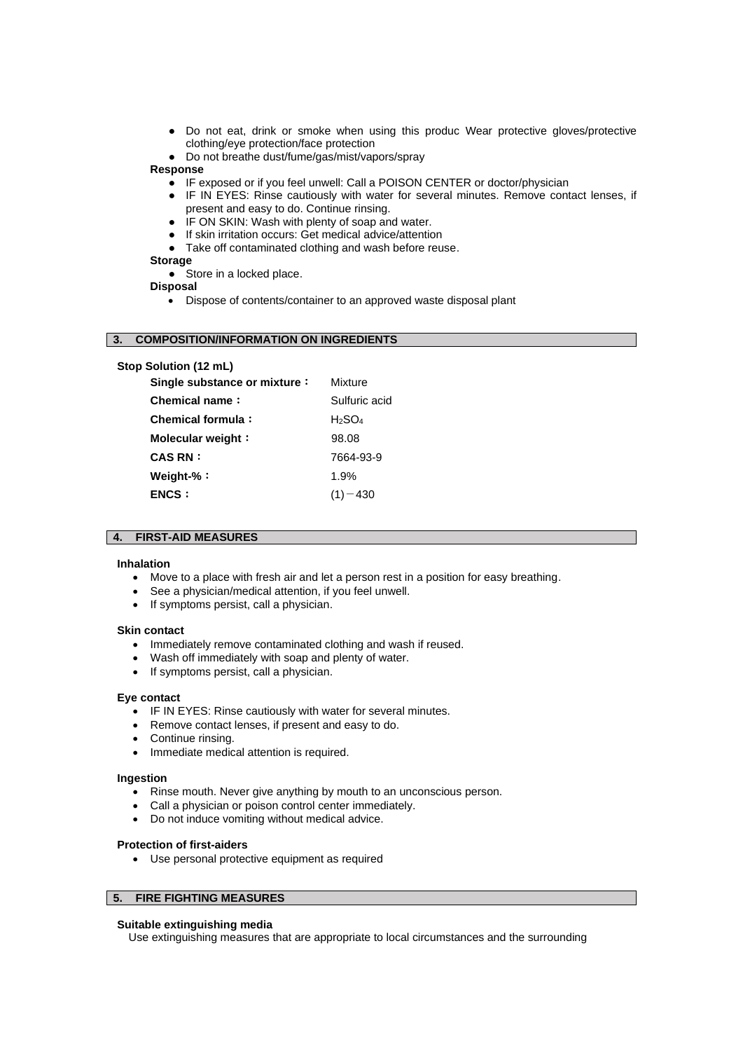- Do not eat, drink or smoke when using this produc Wear protective gloves/protective clothing/eye protection/face protection
- Do not breathe dust/fume/gas/mist/vapors/spray

# **Response**

- IF exposed or if you feel unwell: Call a POISON CENTER or doctor/physician
- IF IN EYES: Rinse cautiously with water for several minutes. Remove contact lenses, if present and easy to do. Continue rinsing.
- IF ON SKIN: Wash with plenty of soap and water.
- If skin irritation occurs: Get medical advice/attention
- Take off contaminated clothing and wash before reuse.

# **Storage**

- Store in a locked place. **Disposal**
	- Dispose of contents/container to an approved waste disposal plant

# **3. COMPOSITION/INFORMATION ON INGREDIENTS**

| Stop Solution (12 mL)        |               |
|------------------------------|---------------|
| Single substance or mixture: | Mixture       |
| Chemical name:               | Sulfuric acid |
| Chemical formula:            | H2SO4         |
| Molecular weight:            | 98.08         |
| <b>CAS RN :</b>              | 7664-93-9     |
| Weight-%:                    | 1.9%          |
| <b>ENCS:</b>                 | 430           |
|                              |               |

#### **4. FIRST-AID MEASURES**

#### **Inhalation**

- Move to a place with fresh air and let a person rest in a position for easy breathing.
- See a physician/medical attention, if you feel unwell.
- If symptoms persist, call a physician.

# **Skin contact**

- Immediately remove contaminated clothing and wash if reused.
- Wash off immediately with soap and plenty of water.
- If symptoms persist, call a physician.

#### **Eye contact**

- IF IN EYES: Rinse cautiously with water for several minutes.
- Remove contact lenses, if present and easy to do.
- Continue rinsing.
- Immediate medical attention is required.

### **Ingestion**

- Rinse mouth. Never give anything by mouth to an unconscious person.
- Call a physician or poison control center immediately.
- Do not induce vomiting without medical advice.

#### **Protection of first-aiders**

• Use personal protective equipment as required

# **5. FIRE FIGHTING MEASURES**

#### **Suitable extinguishing media**

Use extinguishing measures that are appropriate to local circumstances and the surrounding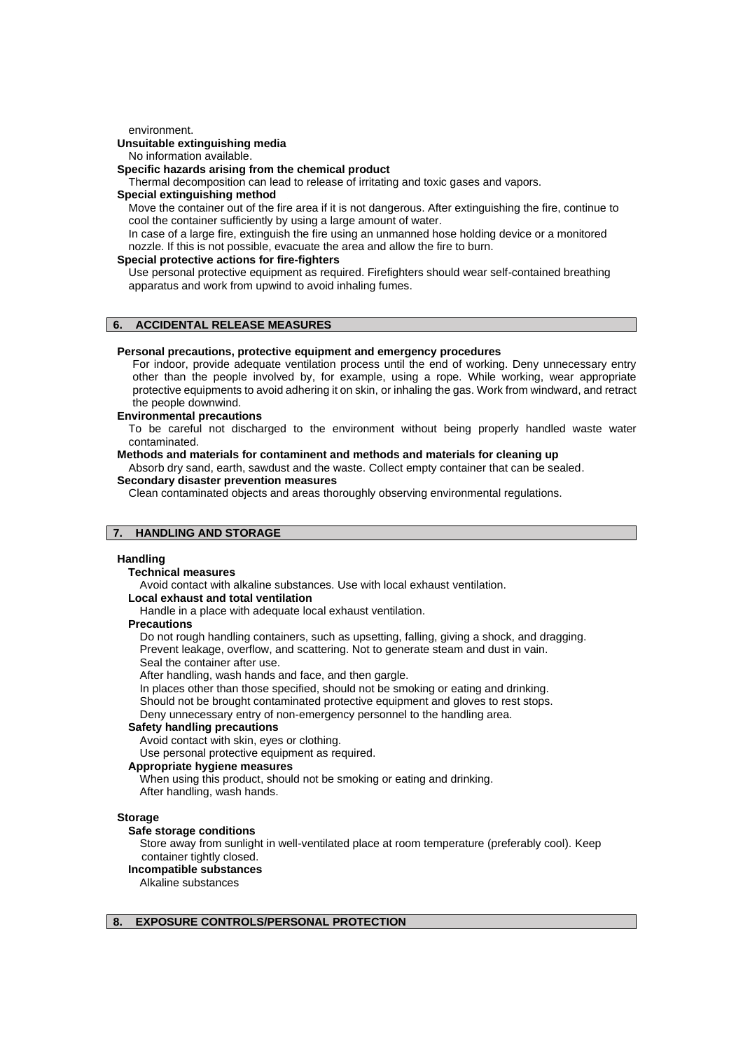environment.

# **Unsuitable extinguishing media**

No information available.

# **Specific hazards arising from the chemical product**

Thermal decomposition can lead to release of irritating and toxic gases and vapors.

#### **Special extinguishing method**

Move the container out of the fire area if it is not dangerous. After extinguishing the fire, continue to cool the container sufficiently by using a large amount of water.

In case of a large fire, extinguish the fire using an unmanned hose holding device or a monitored nozzle. If this is not possible, evacuate the area and allow the fire to burn.

# **Special protective actions for fire-fighters**

Use personal protective equipment as required. Firefighters should wear self-contained breathing apparatus and work from upwind to avoid inhaling fumes.

# **6. ACCIDENTAL RELEASE MEASURES**

## **Personal precautions, protective equipment and emergency procedures**

For indoor, provide adequate ventilation process until the end of working. Deny unnecessary entry other than the people involved by, for example, using a rope. While working, wear appropriate protective equipments to avoid adhering it on skin, or inhaling the gas. Work from windward, and retract the people downwind.

#### **Environmental precautions**

To be careful not discharged to the environment without being properly handled waste water contaminated.

#### **Methods and materials for contaminent and methods and materials for cleaning up**

Absorb dry sand, earth, sawdust and the waste. Collect empty container that can be sealed. **Secondary disaster prevention measures**

Clean contaminated objects and areas thoroughly observing environmental regulations.

# **7. HANDLING AND STORAGE**

#### **Handling**

# **Technical measures**

Avoid contact with alkaline substances. Use with local exhaust ventilation.

### **Local exhaust and total ventilation**

Handle in a place with adequate local exhaust ventilation.

# **Precautions**

Do not rough handling containers, such as upsetting, falling, giving a shock, and dragging. Prevent leakage, overflow, and scattering. Not to generate steam and dust in vain. Seal the container after use.

After handling, wash hands and face, and then gargle.

In places other than those specified, should not be smoking or eating and drinking.

Should not be brought contaminated protective equipment and gloves to rest stops.

Deny unnecessary entry of non-emergency personnel to the handling area.

# **Safety handling precautions**

Avoid contact with skin, eyes or clothing.

Use personal protective equipment as required.

# **Appropriate hygiene measures**

When using this product, should not be smoking or eating and drinking. After handling, wash hands.

#### **Storage**

# **Safe storage conditions**

Store away from sunlight in well-ventilated place at room temperature (preferably cool). Keep container tightly closed.

**Incompatible substances**

Alkaline substances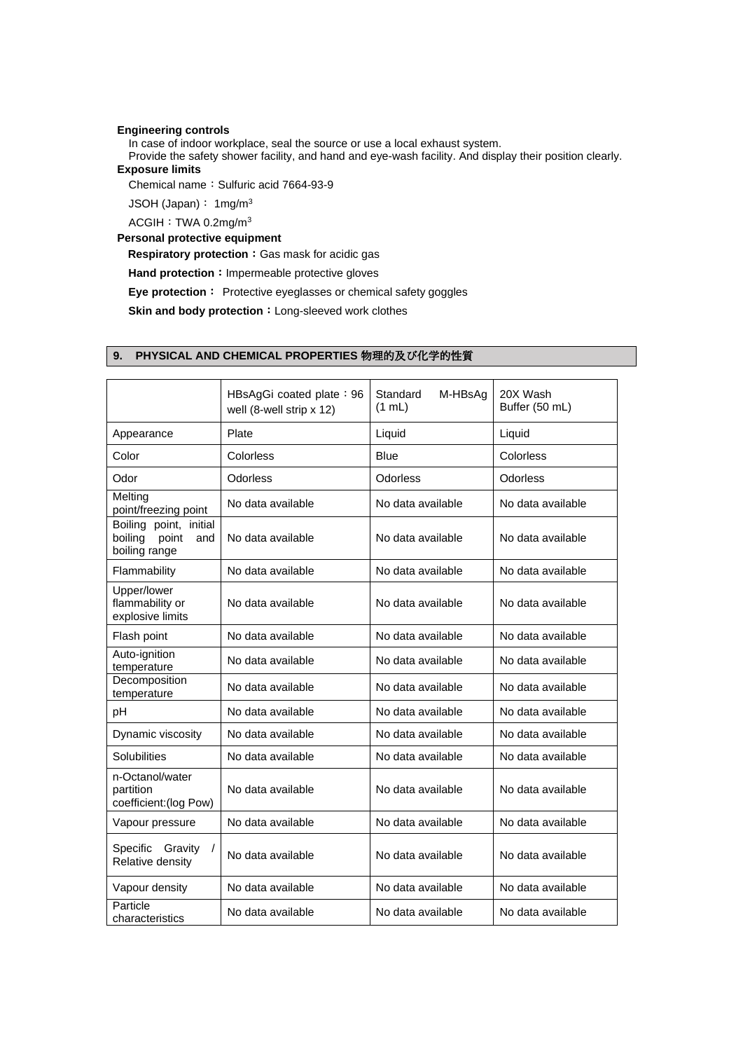# **Engineering controls**

In case of indoor workplace, seal the source or use a local exhaust system.

Provide the safety shower facility, and hand and eye-wash facility. And display their position clearly. **Exposure limits**

Chemical name: Sulfuric acid 7664-93-9

JSOH (Japan): 1mg/m<sup>3</sup>

ACGIH: TWA 0.2mg/m<sup>3</sup>

# **Personal protective equipment**

**Respiratory protection: Gas mask for acidic gas** 

Hand protection: Impermeable protective gloves

**Eye protection**: Protective eyeglasses or chemical safety goggles

**Skin and body protection**: Long-sleeved work clothes

# HBsAgGi coated plate: 96 well (8-well strip x 12) Standard M-HBsAg (1 mL) 20X Wash Buffer (50 mL) Appearance Plate Reserves Plate Liquid Liquid Color Colorless Blue Blue Colorless Color Colorless Odor **Odorless** | Odorless | Odorless | Odorless | Odorless Melting No data available No data available No data available No data available point/freezing point Boiling point, initial boiling point and boiling range No data available No data available No data available Flammability No data available No data available No data available Upper/lower flammability or explosive limits No data available **No data available** No data available Flash point No data available No data available No data available Auto-ignition Auto-igrifichi<br>temperature  $\begin{vmatrix} 0 & 1 \end{vmatrix}$  No data available  $\begin{vmatrix} 1 & 0 \end{vmatrix}$  No data available **Decomposition** temperature No data available No data available No data available pH No data available No data available No data available Dynamic viscosity No data available No data available No data available Solubilities **No data available** No data available No data available n-Octanol/water partition coefficient:(log Pow) No data available No data available No data available Vapour pressure | No data available | No data available | No data available Specific Gravity / Specific Gravity / No data available No data available No data available Relative density Vapour density No data available No data available No data available **Particle** Particle<br>characteristics No data available No data available No data available

# **9. PHYSICAL AND CHEMICAL PROPERTIES** 物理的及び化学的性質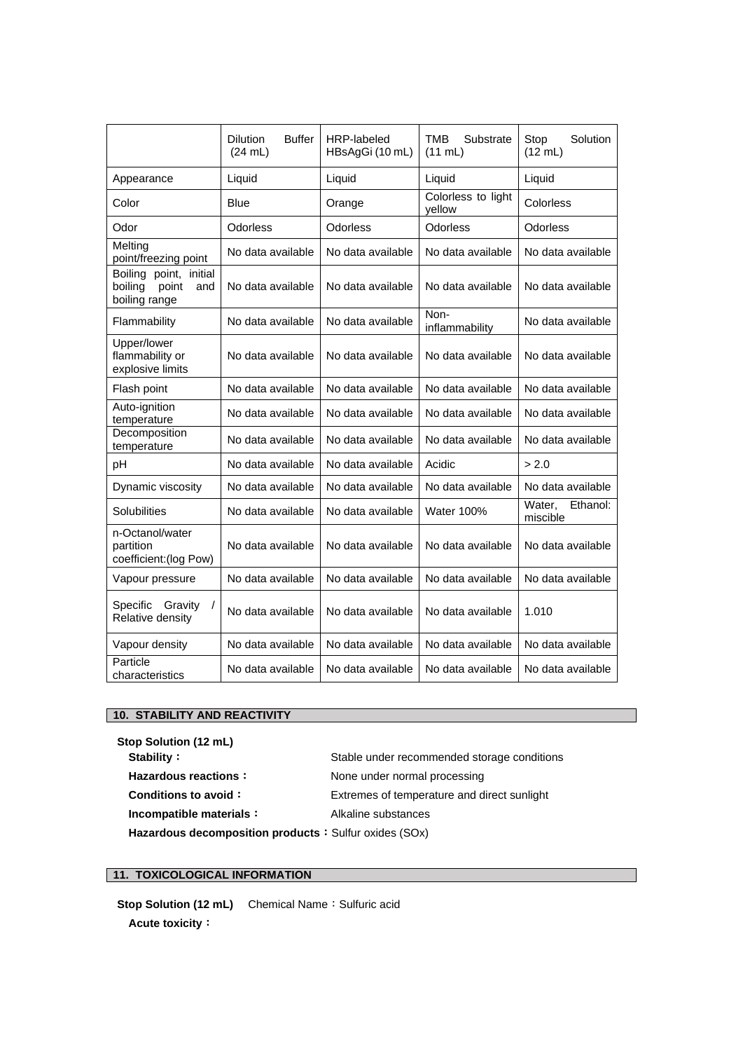|                                                                    | <b>Buffer</b><br><b>Dilution</b><br>(24 mL) | HRP-labeled<br>HBsAgGi (10 mL) | TMB<br>Substrate<br>$(11$ mL) | Solution<br>Stop<br>(12 mL)    |
|--------------------------------------------------------------------|---------------------------------------------|--------------------------------|-------------------------------|--------------------------------|
| Appearance                                                         | Liquid                                      | Liquid                         | Liquid                        | Liquid                         |
| Color                                                              | Blue                                        | Orange                         | Colorless to light<br>yellow  | Colorless                      |
| Odor                                                               | Odorless                                    | Odorless                       | Odorless                      | Odorless                       |
| Melting<br>point/freezing point                                    | No data available                           | No data available              | No data available             | No data available              |
| Boiling point, initial<br>point<br>boiling<br>and<br>boiling range | No data available                           | No data available              | No data available             | No data available              |
| Flammability                                                       | No data available                           | No data available              | Non-<br>inflammability        | No data available              |
| Upper/lower<br>flammability or<br>explosive limits                 | No data available                           | No data available              | No data available             | No data available              |
| Flash point                                                        | No data available                           | No data available              | No data available             | No data available              |
| Auto-ignition<br>temperature                                       | No data available                           | No data available              | No data available             | No data available              |
| Decomposition<br>temperature                                       | No data available                           | No data available              | No data available             | No data available              |
| рH                                                                 | No data available                           | No data available              | Acidic                        | > 2.0                          |
| Dynamic viscosity                                                  | No data available                           | No data available              | No data available             | No data available              |
| Solubilities                                                       | No data available                           | No data available              | <b>Water 100%</b>             | Ethanol:<br>Water.<br>miscible |
| n-Octanol/water<br>partition<br>coefficient: (log Pow)             | No data available                           | No data available              | No data available             | No data available              |
| Vapour pressure                                                    | No data available                           | No data available              | No data available             | No data available              |
| <b>Specific</b><br>Gravity<br>$\prime$<br>Relative density         | No data available                           | No data available              | No data available             | 1.010                          |
| Vapour density                                                     | No data available                           | No data available              | No data available             | No data available              |
| Particle<br>characteristics                                        | No data available                           | No data available              | No data available             | No data available              |

# **10. STABILITY AND REACTIVITY**

| Stop Solution (12 mL)                                  |                                             |
|--------------------------------------------------------|---------------------------------------------|
| Stability:                                             | Stable under recommended storage conditions |
| <b>Hazardous reactions:</b>                            | None under normal processing                |
| Conditions to avoid:                                   | Extremes of temperature and direct sunlight |
| Incompatible materials:                                | Alkaline substances                         |
| Hazardous decomposition products : Sulfur oxides (SOx) |                                             |

# **11. TOXICOLOGICAL INFORMATION**

**Stop Solution (12 mL)** Chemical Name: Sulfuric acid **Acute toxicity**: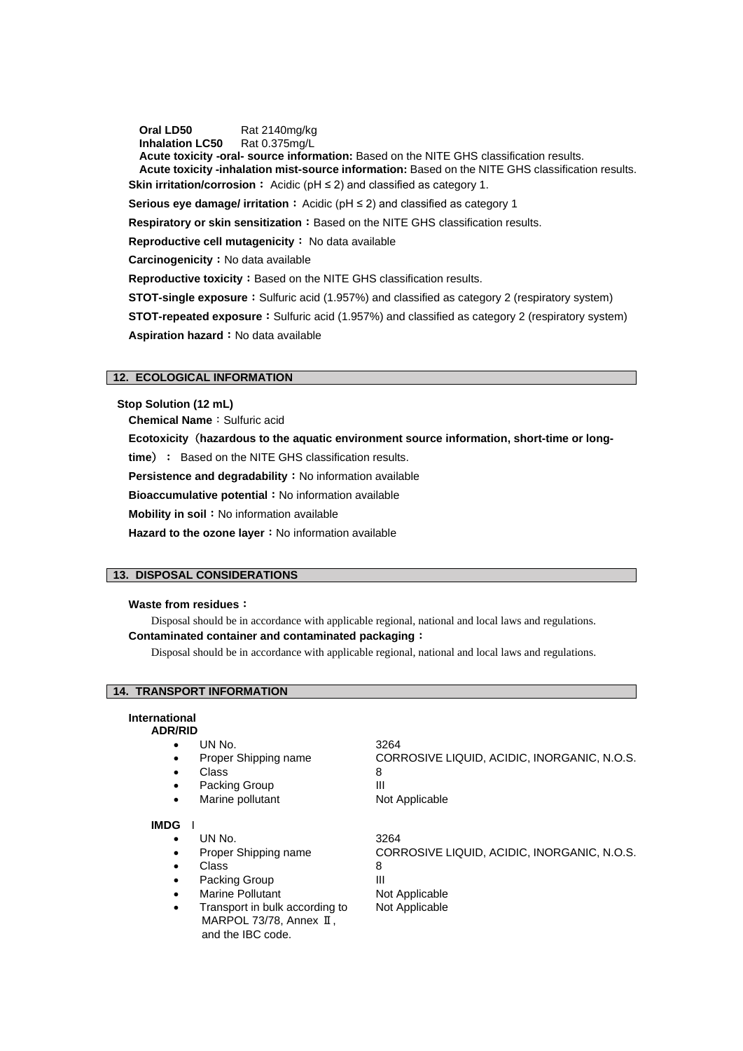**Oral LD50** Rat 2140mg/kg

**Inhalation LC50** Rat 0.375mg/L

**Acute toxicity -oral- source information:** Based on the NITE GHS classification results. **Acute toxicity -inhalation mist-source information:** Based on the NITE GHS classification results. **Skin irritation/corrosion**: Acidic (pH ≤ 2) and classified as category 1.

**Serious eye damage/ irritation**: Acidic (pH ≤ 2) and classified as category 1

**Respiratory or skin sensitization: Based on the NITE GHS classification results.** 

**Reproductive cell mutagenicity**: No data available

**Carcinogenicity**: No data available

**Reproductive toxicity:** Based on the NITE GHS classification results.

**STOT-single exposure**: Sulfuric acid (1.957%) and classified as category 2 (respiratory system)

**STOT-repeated exposure**: Sulfuric acid (1.957%) and classified as category 2 (respiratory system) Aspiration hazard : No data available

# **12. ECOLOGICAL INFORMATION**

**Stop Solution (12 mL)**

**Chemical Name: Sulfuric acid** 

**Ecotoxicity**(**hazardous to the aquatic environment source information, short-time or long-**

**time**): Based on the NITE GHS classification results.

**Persistence and degradability**: No information available

**Bioaccumulative potential**: No information available

**Mobility in soil**: No information available

Hazard to the ozone layer: No information available

# **13. DISPOSAL CONSIDERATIONS**

# **Waste from residues**:

Disposal should be in accordance with applicable regional, national and local laws and regulations. **Contaminated container and contaminated packaging**:

Disposal should be in accordance with applicable regional, national and local laws and regulations.

# **14. TRANSPORT INFORMATION**

# **International**

- **ADR/RID**
	- UN No. 3264
	- Class 8
	-
	- Packing Group III
	-

# **IMDG** I

- UN No. 3264
- Class 8
- 
- Packing Group III
- 
- Transport in bulk according to Not Applicable MARPOL 73/78, Annex II, and the IBC code.

CORROSIVE LIQUID, ACIDIC, INORGANIC, N.O.S.

• Marine pollutant Not Applicable

• Proper Shipping name CORROSIVE LIQUID, ACIDIC, INORGANIC, N.O.S. Marine Pollutant Not Applicable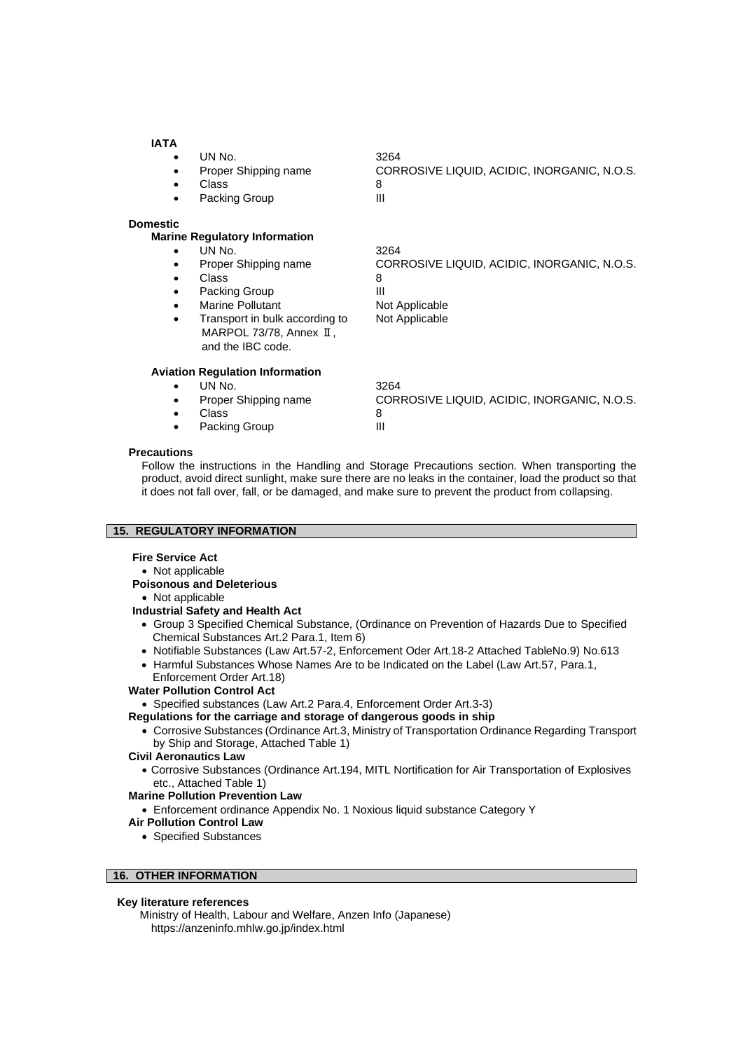# **IATA**

- UN No. 3264 • Proper Shipping name CORROSIVE LIQUID, ACIDIC, INORGANIC, N.O.S.
- Class 8
- Packing Group **III**
- **Domestic**

# **Marine Regulatory Information**

- UN No. 3264
	- Proper Shipping name CORROSIVE LIQUID, ACIDIC, INORGANIC, N.O.S.
	- Class 8
- Packing Group **III**
- **Marine Pollutant Not Applicable**
- Transport in bulk according to Not Applicable MARPOL 73/78, Annex II, and the IBC code.

**Aviation Regulation Information**

# • UN No. 3264

- 
- Class 8
- 
- Proper Shipping name CORROSIVE LIQUID, ACIDIC, INORGANIC, N.O.S. • Packing Group III

# **Precautions**

Follow the instructions in the Handling and Storage Precautions section. When transporting the product, avoid direct sunlight, make sure there are no leaks in the container, load the product so that it does not fall over, fall, or be damaged, and make sure to prevent the product from collapsing.

# **15. REGULATORY INFORMATION**

# **Fire Service Act**

# • Not applicable

# **Poisonous and Deleterious**

# • Not applicable

# **Industrial Safety and Health Act**

- Group 3 Specified Chemical Substance, (Ordinance on Prevention of Hazards Due to Specified Chemical Substances Art.2 Para.1, Item 6)
- Notifiable Substances (Law Art.57-2, Enforcement Oder Art.18-2 Attached TableNo.9) No.613
- Harmful Substances Whose Names Are to be Indicated on the Label (Law Art.57, Para.1, Enforcement Order Art.18)

# **Water Pollution Control Act**

# • Specified substances (Law Art.2 Para.4, Enforcement Order Art.3-3)

- **Regulations for the carriage and storage of dangerous goods in ship**
	- Corrosive Substances (Ordinance Art.3, Ministry of Transportation Ordinance Regarding Transport by Ship and Storage, Attached Table 1)

# **Civil Aeronautics Law**

• Corrosive Substances (Ordinance Art.194, MITL Nortification for Air Transportation of Explosives etc., Attached Table 1)

# **Marine Pollution Prevention Law**

• Enforcement ordinance Appendix No. 1 Noxious liquid substance Category Y

# **Air Pollution Control Law**

• Specified Substances

# **16. OTHER INFORMATION**

# **Key literature references**

Ministry of Health, Labour and Welfare, Anzen Info (Japanese) https://anzeninfo.mhlw.go.jp/index.html